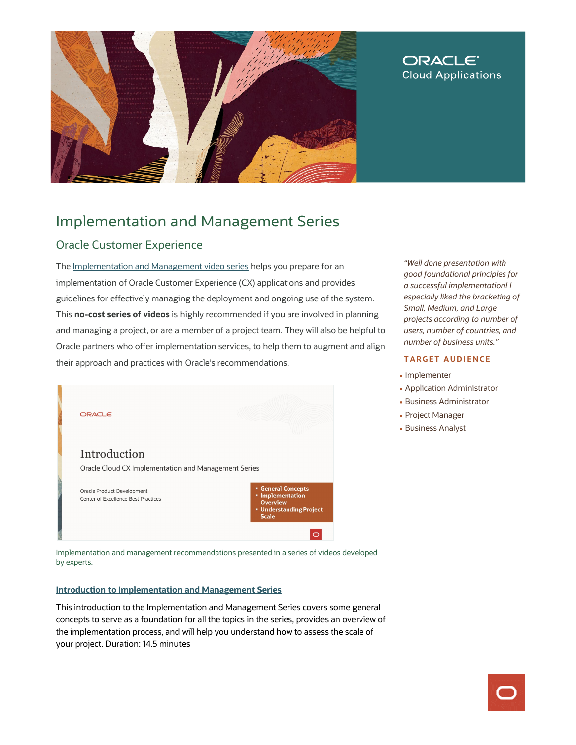

## **ORACLE® Cloud Applications**

# Implementation and Management Series

## Oracle Customer Experience

The [Implementation and Management video series](https://videohub.oracle.com/playlist/dedicated/209848853/1_jkmst6ge) helps you prepare for an implementation of Oracle Customer Experience (CX) applications and provides guidelines for effectively managing the deployment and ongoing use of the system. This **no-cost series of videos** is highly recommended if you are involved in planning and managing a project, or are a member of a project team. They will also be helpful to Oracle partners who offer implementation services, to help them to augment and align their approach and practices with Oracle's recommendations.



Implementation and management recommendations presented in a series of videos developed by experts.

### **[Introduction to Implementation and Management Series](https://videohub.oracle.com/media/Oracle+Cloud+CXA+Implementation+and+Management+Series+Introduction/1_crr0749n)**

This introduction to the Implementation and Management Series covers some general concepts to serve as a foundation for all the topics in the series, provides an overview of the implementation process, and will help you understand how to assess the scale of your project. Duration: 14.5 minutes

*"Well done presentation with good foundational principles for a successful implementation! I especially liked the bracketing of Small, Medium, and Large projects according to number of users, number of countries, and number of business units."* 

### **TARGET AUDIENCE**

- Implementer
- Application Administrator
- Business Administrator
- Project Manager
- Business Analyst